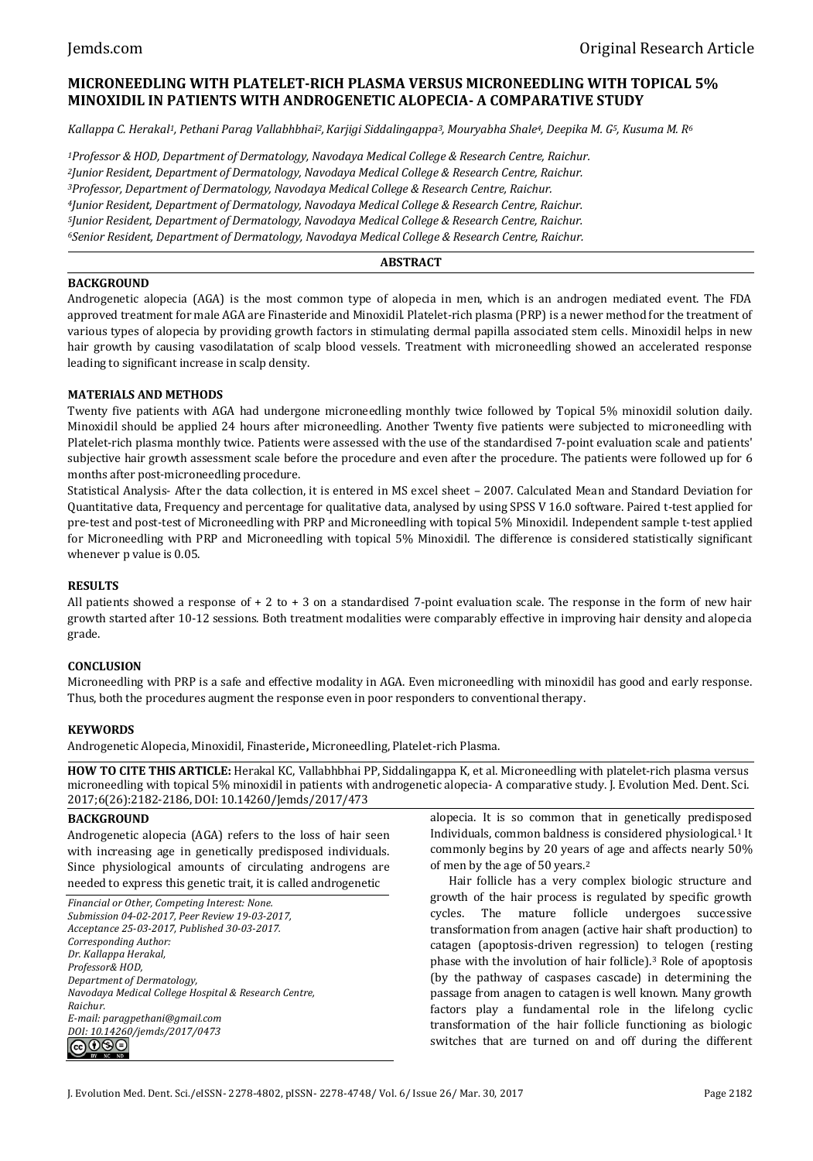# **MICRONEEDLING WITH PLATELET-RICH PLASMA VERSUS MICRONEEDLING WITH TOPICAL 5% MINOXIDIL IN PATIENTS WITH ANDROGENETIC ALOPECIA- A COMPARATIVE STUDY**

*Kallappa C. Herakal1, Pethani Parag Vallabhbhai2,Karjigi Siddalingappa3, Mouryabha Shale4, Deepika M. G5, Kusuma M. R<sup>6</sup>*

*Professor & HOD, Department of Dermatology, Navodaya Medical College & Research Centre, Raichur. Junior Resident, Department of Dermatology, Navodaya Medical College & Research Centre, Raichur. Professor, Department of Dermatology, Navodaya Medical College & Research Centre, Raichur. Junior Resident, Department of Dermatology, Navodaya Medical College & Research Centre, Raichur. Junior Resident, Department of Dermatology, Navodaya Medical College & Research Centre, Raichur. Senior Resident, Department of Dermatology, Navodaya Medical College & Research Centre, Raichur.*

## **ABSTRACT**

### **BACKGROUND**

Androgenetic alopecia (AGA) is the most common type of alopecia in men, which is an androgen mediated event. The FDA approved treatment for male AGA are Finasteride and Minoxidil. Platelet-rich plasma (PRP) is a newer method for the treatment of various types of alopecia by providing growth factors in stimulating dermal papilla associated stem cells. Minoxidil helps in new hair growth by causing vasodilatation of scalp blood vessels. Treatment with microneedling showed an accelerated response leading to significant increase in scalp density.

## **MATERIALS AND METHODS**

Twenty five patients with AGA had undergone microneedling monthly twice followed by Topical 5% minoxidil solution daily. Minoxidil should be applied 24 hours after microneedling. Another Twenty five patients were subjected to microneedling with Platelet-rich plasma monthly twice. Patients were assessed with the use of the standardised 7-point evaluation scale and patients' subjective hair growth assessment scale before the procedure and even after the procedure. The patients were followed up for 6 months after post-microneedling procedure.

Statistical Analysis- After the data collection, it is entered in MS excel sheet – 2007. Calculated Mean and Standard Deviation for Quantitative data, Frequency and percentage for qualitative data, analysed by using SPSS V 16.0 software. Paired t-test applied for pre-test and post-test of Microneedling with PRP and Microneedling with topical 5% Minoxidil. Independent sample t-test applied for Microneedling with PRP and Microneedling with topical 5% Minoxidil. The difference is considered statistically significant whenever p value is 0.05.

## **RESULTS**

All patients showed a response of + 2 to + 3 on a standardised 7-point evaluation scale. The response in the form of new hair growth started after 10-12 sessions. Both treatment modalities were comparably effective in improving hair density and alopecia grade.

### **CONCLUSION**

Microneedling with PRP is a safe and effective modality in AGA. Even microneedling with minoxidil has good and early response. Thus, both the procedures augment the response even in poor responders to conventional therapy.

## **KEYWORDS**

Androgenetic Alopecia, Minoxidil, Finasteride**,** Microneedling, Platelet-rich Plasma.

**HOW TO CITE THIS ARTICLE:** Herakal KC, Vallabhbhai PP, Siddalingappa K, et al. Microneedling with platelet-rich plasma versus microneedling with topical 5% minoxidil in patients with androgenetic alopecia- A comparative study. J. Evolution Med. Dent. Sci. 2017;6(26):2182-2186, DOI: 10.14260/Jemds/2017/473

### **BACKGROUND**

Androgenetic alopecia (AGA) refers to the loss of hair seen with increasing age in genetically predisposed individuals. Since physiological amounts of circulating androgens are needed to express this genetic trait, it is called androgenetic

*Financial or Other, Competing Interest: None. Submission 04-02-2017, Peer Review 19-03-2017, Acceptance 25-03-2017, Published 30-03-2017. Corresponding Author: Dr. Kallappa Herakal, Professor& HOD, Department of Dermatology, Navodaya Medical College Hospital & Research Centre, Raichur. E-mail: paragpethani@gmail.com DOI: 10.14260/jemds/2017/0473*

alopecia. It is so common that in genetically predisposed Individuals, common baldness is considered physiological.<sup>1</sup> It commonly begins by 20 years of age and affects nearly 50% of men by the age of 50 years.<sup>2</sup>

Hair follicle has a very complex biologic structure and growth of the hair process is regulated by specific growth cycles. The mature follicle undergoes successive transformation from anagen (active hair shaft production) to catagen (apoptosis-driven regression) to telogen (resting phase with the involution of hair follicle).<sup>3</sup> Role of apoptosis (by the pathway of caspases cascade) in determining the passage from anagen to catagen is well known. Many growth factors play a fundamental role in the lifelong cyclic transformation of the hair follicle functioning as biologic switches that are turned on and off during the different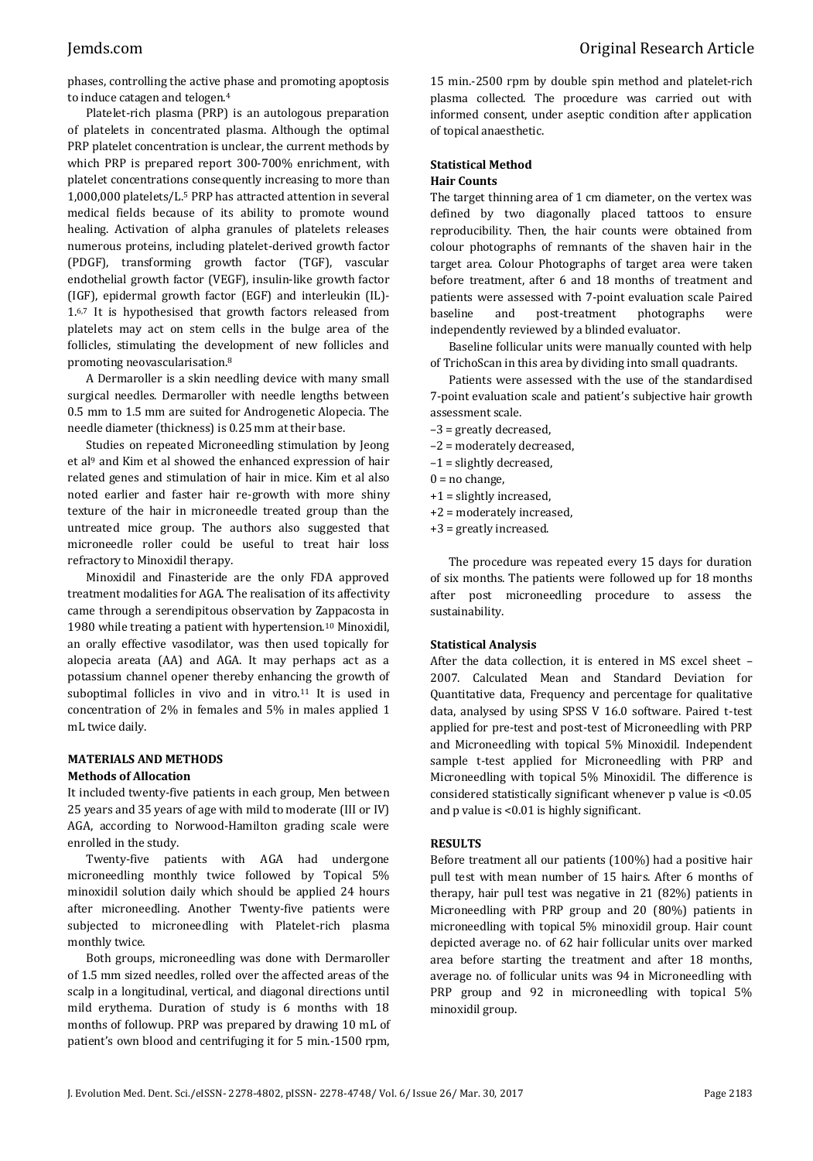phases, controlling the active phase and promoting apoptosis to induce catagen and telogen.<sup>4</sup>

Platelet-rich plasma (PRP) is an autologous preparation of platelets in concentrated plasma. Although the optimal PRP platelet concentration is unclear, the current methods by which PRP is prepared report 300-700% enrichment, with platelet concentrations consequently increasing to more than 1,000,000 platelets/L.<sup>5</sup> PRP has attracted attention in several medical fields because of its ability to promote wound healing. Activation of alpha granules of platelets releases numerous proteins, including platelet-derived growth factor (PDGF), transforming growth factor (TGF), vascular endothelial growth factor (VEGF), insulin-like growth factor (IGF), epidermal growth factor (EGF) and interleukin (IL)- 1.6,7 It is hypothesised that growth factors released from platelets may act on stem cells in the bulge area of the follicles, stimulating the development of new follicles and promoting neovascularisation.<sup>8</sup>

A Dermaroller is a skin needling device with many small surgical needles. Dermaroller with needle lengths between 0.5 mm to 1.5 mm are suited for Androgenetic Alopecia. The needle diameter (thickness) is 0.25 mm at their base.

Studies on repeated Microneedling stimulation by Jeong et al<sup>9</sup> and Kim et al showed the enhanced expression of hair related genes and stimulation of hair in mice. Kim et al also noted earlier and faster hair re-growth with more shiny texture of the hair in microneedle treated group than the untreated mice group. The authors also suggested that microneedle roller could be useful to treat hair loss refractory to Minoxidil therapy.

Minoxidil and Finasteride are the only FDA approved treatment modalities for AGA. The realisation of its affectivity came through a serendipitous observation by Zappacosta in 1980 while treating a patient with hypertension.<sup>10</sup> Minoxidil, an orally effective vasodilator, was then used topically for alopecia areata (AA) and AGA. It may perhaps act as a potassium channel opener thereby enhancing the growth of suboptimal follicles in vivo and in vitro.<sup>11</sup> It is used in concentration of 2% in females and 5% in males applied 1 mL twice daily.

## **MATERIALS AND METHODS**

## **Methods of Allocation**

It included twenty-five patients in each group, Men between 25 years and 35 years of age with mild to moderate (III or IV) AGA, according to Norwood-Hamilton grading scale were enrolled in the study.

Twenty-five patients with AGA had undergone microneedling monthly twice followed by Topical 5% minoxidil solution daily which should be applied 24 hours after microneedling. Another Twenty-five patients were subjected to microneedling with Platelet-rich plasma monthly twice.

Both groups, microneedling was done with Dermaroller of 1.5 mm sized needles, rolled over the affected areas of the scalp in a longitudinal, vertical, and diagonal directions until mild erythema. Duration of study is 6 months with 18 months of followup. PRP was prepared by drawing 10 mL of patient's own blood and centrifuging it for 5 min.-1500 rpm,

15 min.-2500 rpm by double spin method and platelet-rich plasma collected. The procedure was carried out with informed consent, under aseptic condition after application of topical anaesthetic.

# **Statistical Method**

### **Hair Counts**

The target thinning area of 1 cm diameter, on the vertex was defined by two diagonally placed tattoos to ensure reproducibility. Then, the hair counts were obtained from colour photographs of remnants of the shaven hair in the target area. Colour Photographs of target area were taken before treatment, after 6 and 18 months of treatment and patients were assessed with 7-point evaluation scale Paired baseline and post-treatment photographs were independently reviewed by a blinded evaluator.

Baseline follicular units were manually counted with help of TrichoScan in this area by dividing into small quadrants.

Patients were assessed with the use of the standardised 7-point evaluation scale and patient's subjective hair growth assessment scale.

- –3 = greatly decreased,
- –2 = moderately decreased,
- –1 = slightly decreased,
- $0 = no$  change,
- +1 = slightly increased,
- +2 = moderately increased,
- +3 = greatly increased.

The procedure was repeated every 15 days for duration of six months. The patients were followed up for 18 months after post microneedling procedure to assess the sustainability.

### **Statistical Analysis**

After the data collection, it is entered in MS excel sheet – 2007. Calculated Mean and Standard Deviation for Quantitative data, Frequency and percentage for qualitative data, analysed by using SPSS V 16.0 software. Paired t-test applied for pre-test and post-test of Microneedling with PRP and Microneedling with topical 5% Minoxidil. Independent sample t-test applied for Microneedling with PRP and Microneedling with topical 5% Minoxidil. The difference is considered statistically significant whenever p value is <0.05 and p value is <0.01 is highly significant.

### **RESULTS**

Before treatment all our patients (100%) had a positive hair pull test with mean number of 15 hairs. After 6 months of therapy, hair pull test was negative in 21 (82%) patients in Microneedling with PRP group and 20 (80%) patients in microneedling with topical 5% minoxidil group. Hair count depicted average no. of 62 hair follicular units over marked area before starting the treatment and after 18 months, average no. of follicular units was 94 in Microneedling with PRP group and 92 in microneedling with topical 5% minoxidil group.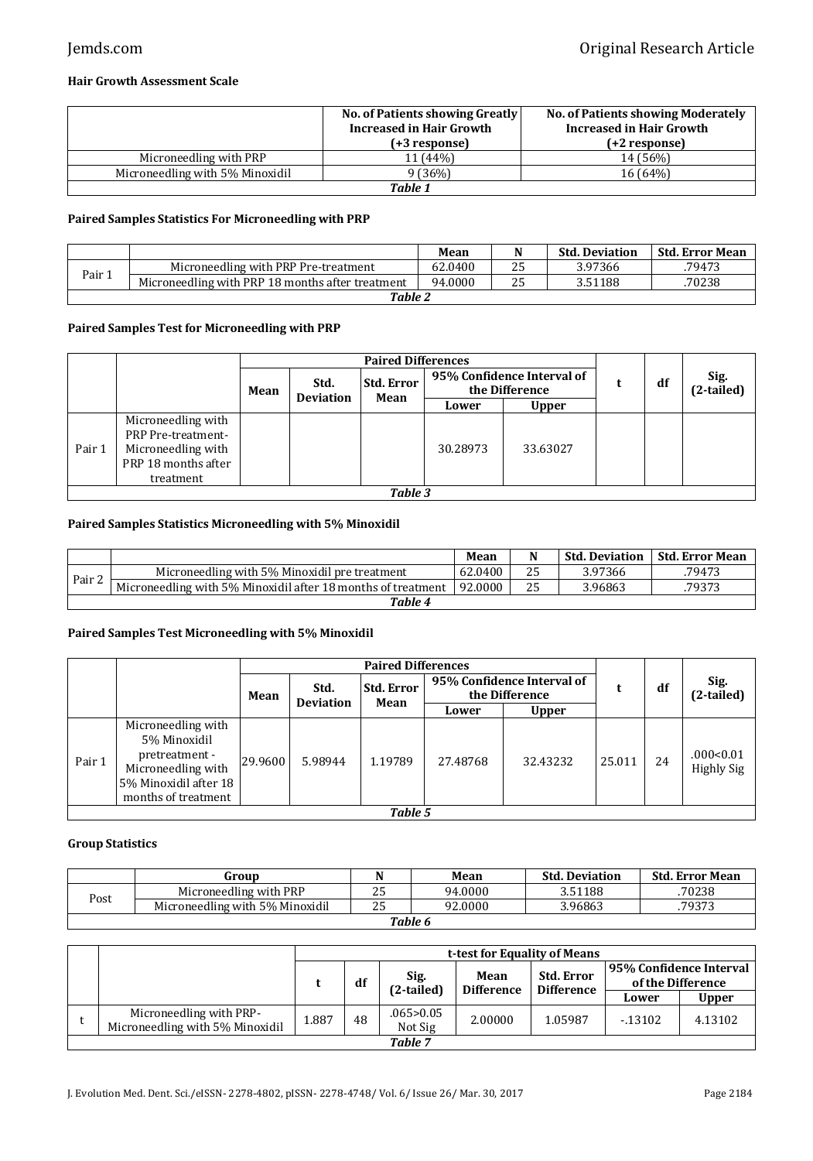## **Hair Growth Assessment Scale**

|                                 | No. of Patients showing Greatly<br><b>Increased in Hair Growth</b><br>(+3 response) | <b>No. of Patients showing Moderately</b><br>Increased in Hair Growth<br>(+2 response) |  |  |  |  |  |
|---------------------------------|-------------------------------------------------------------------------------------|----------------------------------------------------------------------------------------|--|--|--|--|--|
| Microneedling with PRP          | 11 (44%)                                                                            | 14 (56%)                                                                               |  |  |  |  |  |
| Microneedling with 5% Minoxidil | 9 (36%)                                                                             | 16(64%)                                                                                |  |  |  |  |  |
| Table 1                         |                                                                                     |                                                                                        |  |  |  |  |  |

## **Paired Samples Statistics For Microneedling with PRP**

|        |                                                  | Mean    |  | <b>Std. Deviation</b> | <b>Std. Error Mean</b> |  |  |  |  |
|--------|--------------------------------------------------|---------|--|-----------------------|------------------------|--|--|--|--|
| Pair . | Microneedling with PRP Pre-treatment             | 62.0400 |  | 3.97366               | .79473                 |  |  |  |  |
|        | Microneedling with PRP 18 months after treatment | 94.0000 |  | 3.51188               | 70238                  |  |  |  |  |
|        | <b>Table 2</b>                                   |         |  |                       |                        |  |  |  |  |

## **Paired Samples Test for Microneedling with PRP**

|        |                                                                                                           |  | <b>Paired Differences</b> |                           |                                              |              |  |    |                    |  |
|--------|-----------------------------------------------------------------------------------------------------------|--|---------------------------|---------------------------|----------------------------------------------|--------------|--|----|--------------------|--|
|        | Mean                                                                                                      |  | Std.<br><b>Deviation</b>  | <b>Std. Error</b><br>Mean | 95% Confidence Interval of<br>the Difference |              |  | df | Sig.<br>(2-tailed) |  |
|        |                                                                                                           |  |                           |                           | Lower                                        | <b>Upper</b> |  |    |                    |  |
| Pair 1 | Microneedling with<br><b>PRP Pre-treatment-</b><br>Microneedling with<br>PRP 18 months after<br>treatment |  |                           |                           | 30.28973                                     | 33.63027     |  |    |                    |  |
|        | Table 3                                                                                                   |  |                           |                           |                                              |              |  |    |                    |  |

## **Paired Samples Statistics Microneedling with 5% Minoxidil**

|        |                                                              | Mean    |    |         | Std. Deviation   Std. Error Mean |
|--------|--------------------------------------------------------------|---------|----|---------|----------------------------------|
|        | Microneedling with 5% Minoxidil pre treatment                | 62.0400 | 25 | 3.97366 | 79473                            |
| Pair 2 | Microneedling with 5% Minoxidil after 18 months of treatment | 92.0000 | 25 | 3.96863 | 79373                            |
|        | Table 4                                                      |         |    |         |                                  |

## **Paired Samples Test Microneedling with 5% Minoxidil**

|        |                                                                                                                            |         | <b>Paired Differences</b>                     |         |          |                                              |        |    |                                |  |
|--------|----------------------------------------------------------------------------------------------------------------------------|---------|-----------------------------------------------|---------|----------|----------------------------------------------|--------|----|--------------------------------|--|
|        |                                                                                                                            | Mean    | <b>Std. Error</b><br>Std.<br><b>Deviation</b> |         |          | 95% Confidence Interval of<br>the Difference |        | df | Sig.<br>(2-tailed)             |  |
|        |                                                                                                                            |         |                                               | Mean    | Lower    | <b>Upper</b>                                 |        |    |                                |  |
| Pair 1 | Microneedling with<br>5% Minoxidil<br>pretreatment -<br>Microneedling with<br>5% Minoxidil after 18<br>months of treatment | 29.9600 | 5.98944                                       | 1.19789 | 27.48768 | 32.43232                                     | 25.011 | 24 | .000<0.01<br><b>Highly Sig</b> |  |
|        | Table 5                                                                                                                    |         |                                               |         |          |                                              |        |    |                                |  |

## **Group Statistics**

|                | Group                           |         | Mean    | <b>Std. Deviation</b> | <b>Std. Error Mean</b> |  |  |
|----------------|---------------------------------|---------|---------|-----------------------|------------------------|--|--|
| $_{\rm{post}}$ | Microneedling with PRP          | 25      | 94.0000 | 3.51188               | 70238                  |  |  |
|                | Microneedling with 5% Minoxidil | ົ<br>45 | 92.0000 | 3.96863               | 79373                  |  |  |
| Table 6        |                                 |         |         |                       |                        |  |  |

|                                                            | t-test for Equality of Means |    |                        |            |                   |                                              |              |  |
|------------------------------------------------------------|------------------------------|----|------------------------|------------|-------------------|----------------------------------------------|--------------|--|
|                                                            |                              | df | Sig.                   | Mean       | <b>Std. Error</b> | 95% Confidence Interval<br>of the Difference |              |  |
|                                                            |                              |    | (2-tailed)             | Difference | Difference        | Lower                                        | <b>Upper</b> |  |
| Microneedling with PRP-<br>Microneedling with 5% Minoxidil | 1.887                        | 48 | .065 > 0.05<br>Not Sig | 2.00000    | 1.05987           | $-13102$                                     | 4.13102      |  |
| <b>Table 7</b>                                             |                              |    |                        |            |                   |                                              |              |  |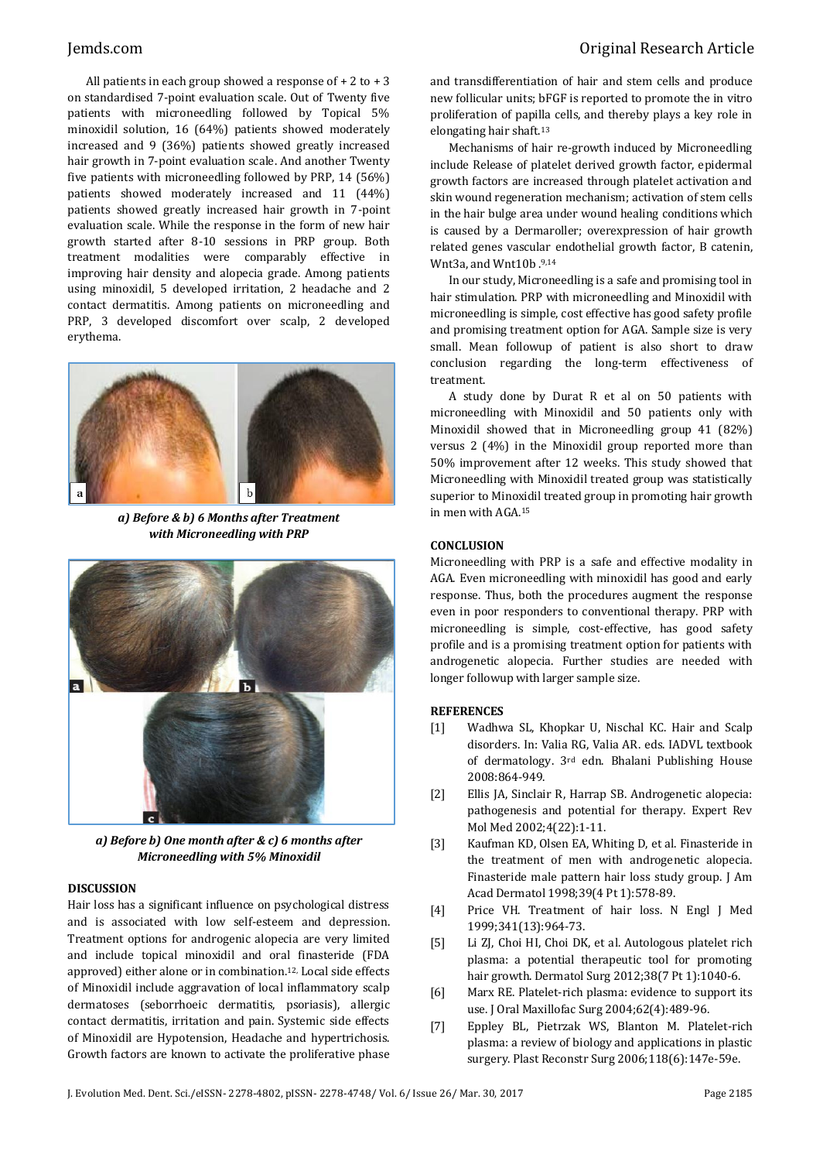All patients in each group showed a response of  $+ 2$  to  $+ 3$ on standardised 7-point evaluation scale. Out of Twenty five patients with microneedling followed by Topical 5% minoxidil solution, 16 (64%) patients showed moderately increased and 9 (36%) patients showed greatly increased hair growth in 7-point evaluation scale. And another Twenty five patients with microneedling followed by PRP, 14 (56%) patients showed moderately increased and 11 (44%) patients showed greatly increased hair growth in 7-point evaluation scale. While the response in the form of new hair growth started after 8-10 sessions in PRP group. Both treatment modalities were comparably effective in improving hair density and alopecia grade. Among patients using minoxidil, 5 developed irritation, 2 headache and 2 contact dermatitis. Among patients on microneedling and PRP, 3 developed discomfort over scalp, 2 developed erythema.



*a) Before & b) 6 Months after Treatment with Microneedling with PRP*



*a) Before b) One month after & c) 6 months after Microneedling with 5% Minoxidil*

#### **DISCUSSION**

Hair loss has a significant influence on psychological distress and is associated with low self-esteem and depression. Treatment options for androgenic alopecia are very limited and include topical minoxidil and oral finasteride (FDA approved) either alone or in combination.12, Local side effects of Minoxidil include aggravation of local inflammatory scalp dermatoses (seborrhoeic dermatitis, psoriasis), allergic contact dermatitis, irritation and pain. Systemic side effects of Minoxidil are Hypotension, Headache and hypertrichosis. Growth factors are known to activate the proliferative phase

and transdifferentiation of hair and stem cells and produce new follicular units; bFGF is reported to promote the in vitro proliferation of papilla cells, and thereby plays a key role in elongating hair shaft.<sup>13</sup>

Mechanisms of hair re-growth induced by Microneedling include Release of platelet derived growth factor, epidermal growth factors are increased through platelet activation and skin wound regeneration mechanism; activation of stem cells in the hair bulge area under wound healing conditions which is caused by a Dermaroller; overexpression of hair growth related genes vascular endothelial growth factor, B catenin, Wnt3a, and Wnt10b .9,14

In our study, Microneedling is a safe and promising tool in hair stimulation. PRP with microneedling and Minoxidil with microneedling is simple, cost effective has good safety profile and promising treatment option for AGA. Sample size is very small. Mean followup of patient is also short to draw conclusion regarding the long-term effectiveness of treatment.

A study done by Durat R et al on 50 patients with microneedling with Minoxidil and 50 patients only with Minoxidil showed that in Microneedling group 41 (82%) versus 2 (4%) in the Minoxidil group reported more than 50% improvement after 12 weeks. This study showed that Microneedling with Minoxidil treated group was statistically superior to Minoxidil treated group in promoting hair growth in men with AGA.<sup>15</sup>

#### **CONCLUSION**

Microneedling with PRP is a safe and effective modality in AGA. Even microneedling with minoxidil has good and early response. Thus, both the procedures augment the response even in poor responders to conventional therapy. PRP with microneedling is simple, cost-effective, has good safety profile and is a promising treatment option for patients with androgenetic alopecia. Further studies are needed with longer followup with larger sample size.

#### **REFERENCES**

- [1] Wadhwa SL, Khopkar U, Nischal KC. Hair and Scalp disorders. In: Valia RG, Valia AR. eds. IADVL textbook of dermatology. 3rd edn. Bhalani Publishing House 2008:864-949.
- [2] Ellis JA, Sinclair R, Harrap SB. Androgenetic alopecia: pathogenesis and potential for therapy. Expert Rev Mol Med 2002;4(22):1-11.
- [3] Kaufman KD, Olsen EA, Whiting D, et al. Finasteride in the treatment of men with androgenetic alopecia. Finasteride male pattern hair loss study group. J Am Acad Dermatol 1998;39(4 Pt 1):578-89.
- [4] Price VH. Treatment of hair loss. N Engl J Med 1999;341(13):964-73.
- [5] Li ZJ, Choi HI, Choi DK, et al. Autologous platelet rich plasma: a potential therapeutic tool for promoting hair growth. Dermatol Surg 2012;38(7 Pt 1):1040-6.
- [6] Marx RE. Platelet-rich plasma: evidence to support its use. J Oral Maxillofac Surg 2004;62(4):489-96.
- [7] Eppley BL, Pietrzak WS, Blanton M. Platelet-rich plasma: a review of biology and applications in plastic surgery. Plast Reconstr Surg 2006;118(6):147e-59e.